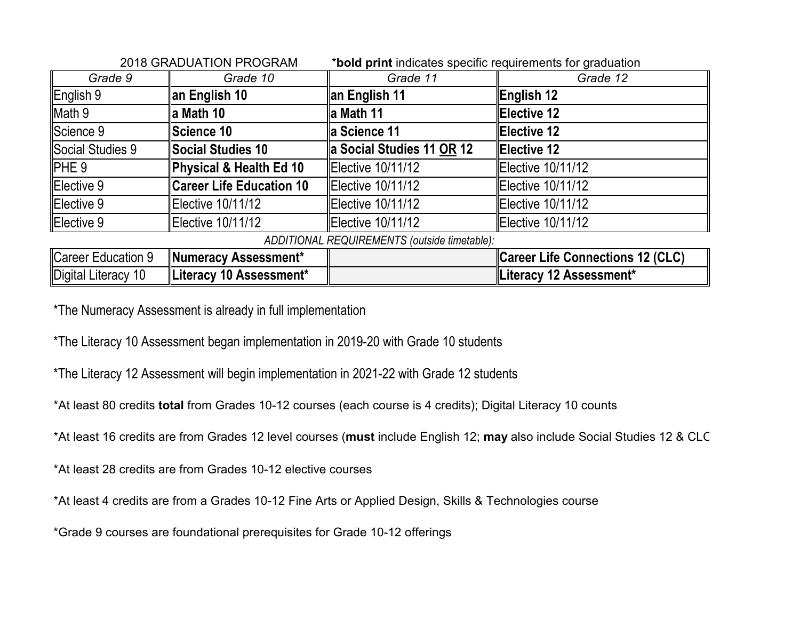| 2018 GRADUATION PROGRAM                      |                                 | * <b>bold print</b> indicates specific requirements for graduation |                                         |
|----------------------------------------------|---------------------------------|--------------------------------------------------------------------|-----------------------------------------|
| Grade 9                                      | Grade 10                        | Grade 11                                                           | Grade 12                                |
| English 9                                    | an English 10                   | an English 11                                                      | English 12                              |
| Math 9                                       | ∥a Math 10                      | a Math 11                                                          | Elective 12                             |
| Science 9                                    | Science 10                      | ∥a Science 11                                                      | Elective 12                             |
| Social Studies 9                             | Social Studies 10               | a Social Studies 11 OR 12                                          | Elective 12                             |
| <b>PHE 9</b>                                 | Physical & Health Ed 10         | Elective 10/11/12                                                  | Elective 10/11/12                       |
| Elective 9                                   | <b>Career Life Education 10</b> | Elective 10/11/12                                                  | Elective 10/11/12                       |
| Elective 9                                   | Elective 10/11/12               | Elective 10/11/12                                                  | Elective 10/11/12                       |
| Elective 9                                   | Elective 10/11/12               | Elective 10/11/12                                                  | Elective 10/11/12                       |
| ADDITIONAL REQUIREMENTS (outside timetable): |                                 |                                                                    |                                         |
| Career Education 9                           | Numeracy Assessment*            |                                                                    | <b>Career Life Connections 12 (CLC)</b> |
| Digital Literacy 10                          | Literacy 10 Assessment*         |                                                                    | Literacy 12 Assessment*                 |

\*The Numeracy Assessment is already in full implementation

- \*The Literacy 10 Assessment began implementation in 2019-20 with Grade 10 students
- \*The Literacy 12 Assessment will begin implementation in 2021-22 with Grade 12 students
- \*At least 80 credits **total** from Grades 10-12 courses (each course is 4 credits); Digital Literacy 10 counts
- \*At least 16 credits are from Grades 12 level courses (**must** include English 12; **may** also include Social Studies 12 & CLC

\*At least 28 credits are from Grades 10-12 elective courses

\*At least 4 credits are from a Grades 10-12 Fine Arts or Applied Design, Skills & Technologies course

\*Grade 9 courses are foundational prerequisites for Grade 10-12 offerings